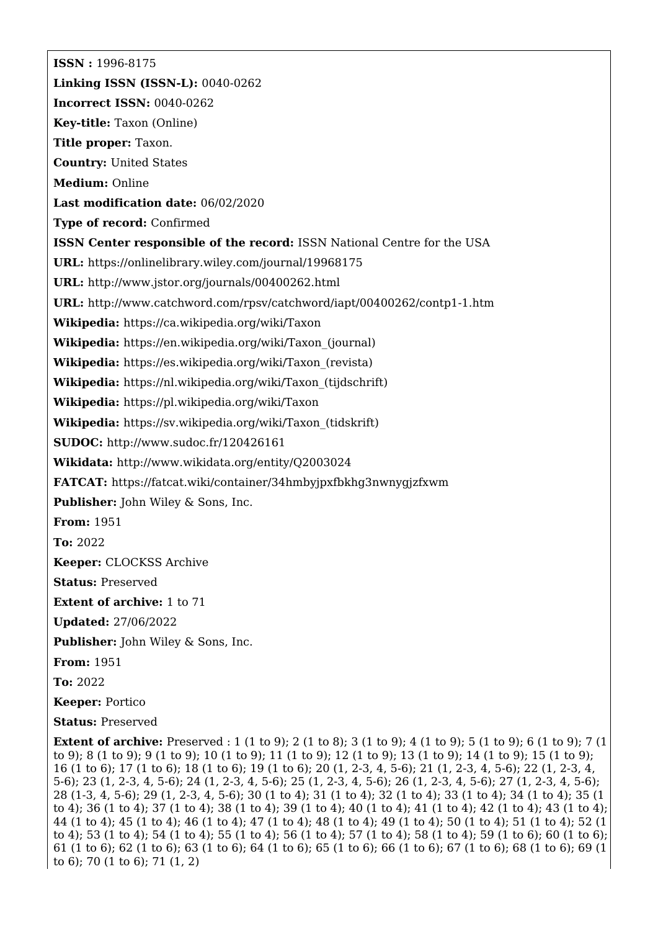**ISSN :** 1996-8175 **Linking ISSN (ISSN-L):** 0040-0262 **Incorrect ISSN:** 0040-0262 **Key-title:** Taxon (Online) **Title proper:** Taxon. **Country:** United States **Medium:** Online **Last modification date:** 06/02/2020 **Type of record:** Confirmed **ISSN Center responsible of the record:** ISSN National Centre for the USA **URL:** <https://onlinelibrary.wiley.com/journal/19968175> **URL:** <http://www.jstor.org/journals/00400262.html> **URL:** <http://www.catchword.com/rpsv/catchword/iapt/00400262/contp1-1.htm> **Wikipedia:** <https://ca.wikipedia.org/wiki/Taxon> **Wikipedia:** [https://en.wikipedia.org/wiki/Taxon\\_\(journal\)](https://en.wikipedia.org/wiki/Taxon_(journal)) **Wikipedia:** [https://es.wikipedia.org/wiki/Taxon\\_\(revista\)](https://es.wikipedia.org/wiki/Taxon_(revista)) **Wikipedia:** [https://nl.wikipedia.org/wiki/Taxon\\_\(tijdschrift\)](https://nl.wikipedia.org/wiki/Taxon_(tijdschrift)) **Wikipedia:** <https://pl.wikipedia.org/wiki/Taxon> **Wikipedia:** [https://sv.wikipedia.org/wiki/Taxon\\_\(tidskrift\)](https://sv.wikipedia.org/wiki/Taxon_(tidskrift)) **SUDOC:** <http://www.sudoc.fr/120426161> **Wikidata:** <http://www.wikidata.org/entity/Q2003024> **FATCAT:** <https://fatcat.wiki/container/34hmbyjpxfbkhg3nwnygjzfxwm> **Publisher:** John Wiley & Sons, Inc. **From:** 1951 **To:** 2022 **Keeper:** CLOCKSS Archive **Status:** Preserved **Extent of archive:** 1 to 71 **Updated:** 27/06/2022 **Publisher:** John Wiley & Sons, Inc. **From:** 1951 **To:** 2022 **Keeper:** Portico **Status:** Preserved **Extent of archive:** Preserved : 1 (1 to 9); 2 (1 to 8); 3 (1 to 9); 4 (1 to 9); 5 (1 to 9); 6 (1 to 9); 7 (1 to 9); 8 (1 to 9); 9 (1 to 9); 10 (1 to 9); 11 (1 to 9); 12 (1 to 9); 13 (1 to 9); 14 (1 to 9); 15 (1 to 9); 16 (1 to 6); 17 (1 to 6); 18 (1 to 6); 19 (1 to 6); 20 (1, 2-3, 4, 5-6); 21 (1, 2-3, 4, 5-6); 22 (1, 2-3, 4,

5-6); 23 (1, 2-3, 4, 5-6); 24 (1, 2-3, 4, 5-6); 25 (1, 2-3, 4, 5-6); 26 (1, 2-3, 4, 5-6); 27 (1, 2-3, 4, 5-6); 28 (1-3, 4, 5-6); 29 (1, 2-3, 4, 5-6); 30 (1 to 4); 31 (1 to 4); 32 (1 to 4); 33 (1 to 4); 34 (1 to 4); 35 (1 to 4); 36 (1 to 4); 37 (1 to 4); 38 (1 to 4); 39 (1 to 4); 40 (1 to 4); 41 (1 to 4); 42 (1 to 4); 43 (1 to 4); 44 (1 to 4); 45 (1 to 4); 46 (1 to 4); 47 (1 to 4); 48 (1 to 4); 49 (1 to 4); 50 (1 to 4); 51 (1 to 4); 52 (1 to 4); 53 (1 to 4); 54 (1 to 4); 55 (1 to 4); 56 (1 to 4); 57 (1 to 4); 58 (1 to 4); 59 (1 to 6); 60 (1 to 6); 61 (1 to 6); 62 (1 to 6); 63 (1 to 6); 64 (1 to 6); 65 (1 to 6); 66 (1 to 6); 67 (1 to 6); 68 (1 to 6); 69 (1 to 6); 70 (1 to 6); 71 (1, 2)